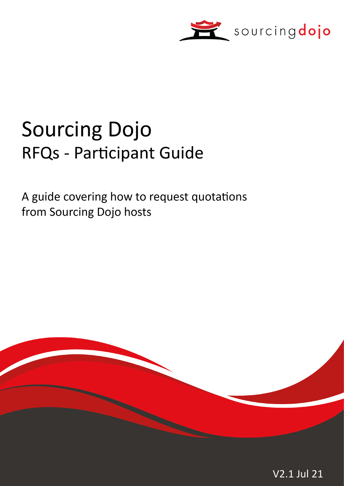

# **Sourcing Dojo RFQs - Participant Guide**

A guide covering how to request quotations from Sourcing Dojo hosts

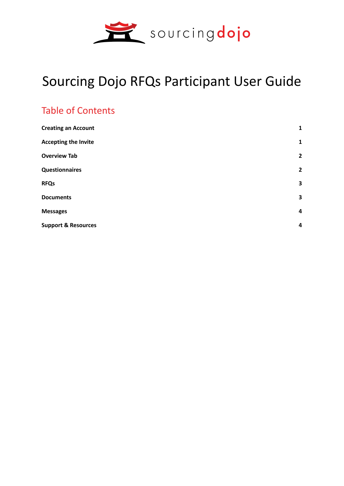

# Sourcing Dojo RFQs Participant User Guide

#### Table of Contents

| $\mathbf{1}$   |
|----------------|
| $\mathbf{1}$   |
| $\overline{2}$ |
| $\overline{2}$ |
| 3              |
| 3              |
| 4              |
| 4              |
|                |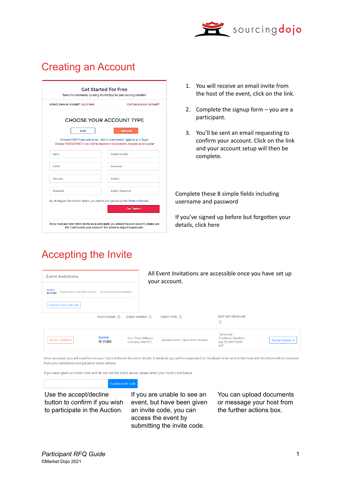

## Creating an Account

| Already have an account? Log in here | Can't access your account?                                                          |
|--------------------------------------|-------------------------------------------------------------------------------------|
|                                      | CHOOSE YOUR ACCOUNT TYPE                                                            |
| Host                                 | Participant                                                                         |
|                                      | Choose HOST if you wish to run, view or score events, typically as a Buyer          |
|                                      | Choose PARTICIPANT if you wish to respond or bid in events, typically as a Supplier |
| Name                                 | Contact number                                                                      |
|                                      |                                                                                     |
| F-Mail                               | <b>Username</b>                                                                     |
| Company                              | Country                                                                             |
|                                      |                                                                                     |
|                                      |                                                                                     |

Accepting the Invite

- 1. You will receive an email invite from the host of the event, click on the link.
- 2. Complete the signup form you are a participant.
- 3. You'll be sent an email requesting to confirm your account. Click on the link and your account setup will then be complete.

Complete these 8 simple fields including username and password

If you've signed up before but forgotten your details, click here

| Event invitations                                                   |                                    | $\overline{\phantom{a}}$                         | All Event Invitations are accessible once you have set up<br>your account. |                                                                  |                   |
|---------------------------------------------------------------------|------------------------------------|--------------------------------------------------|----------------------------------------------------------------------------|------------------------------------------------------------------|-------------------|
| <b>Auction</b><br>Ouestionnaire + Qual, Bids + Auction<br>ID: 51287 | Terms and Conditions Deadline: -   |                                                  |                                                                            |                                                                  |                   |
| Show all or enter invite code                                       | EVENT NAME (i)                     | EVENT OWNER (i)                                  | EVENT TYPE (i)                                                             | <b>NEXT KEY DEADLINE</b>                                         |                   |
|                                                                     |                                    |                                                  |                                                                            | $\odot$<br>Terms and                                             |                   |
| Accept / Decline -                                                  | <b>Auction</b><br><b>ID: 51283</b> | <b>Host: Steve Williams</b><br>Company: Vext PLC | Questionnaire + Qual. Bids + Auction                                       | <b>Conditions Deadline:</b><br>July 25, 2019 10:00<br><b>BST</b> | Further Actions v |

Once accepted, you will need to visit your Current Events for more details. If declined, you will be requested for feedback to be sent to the Host and this Event will be removed from your invitations and placed in Event History.

If you been given an Invite Code and do not see the Event above, please enter your Invite Code below

Use the accept/decline button to confirm if you wish to participate in the Auction.

If you are unable to see an event, but have been given an invite code, you can access the event by submitting the invite code.

You can upload documents or message your host from the further actions box.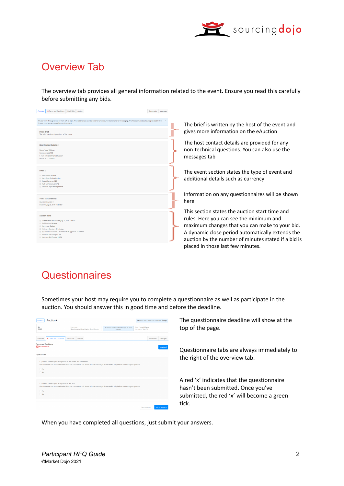

#### Overview Tab

The overview tab provides all general information related to the event. Ensure you read this carefully before submitting any bids.

| <b>x</b> Terms and Conditions Qual, Bids Auction<br>Overview                                                                                                                                                                                                                                                                     | Documents Messages |                                                                                                                                                                                                                                                                                             |
|----------------------------------------------------------------------------------------------------------------------------------------------------------------------------------------------------------------------------------------------------------------------------------------------------------------------------------|--------------------|---------------------------------------------------------------------------------------------------------------------------------------------------------------------------------------------------------------------------------------------------------------------------------------------|
| Please work through the tabs from left to right. The last two tabs can be used for any documentation and for messaging. The Host contact details are provided below<br>in case you have any questions on this event                                                                                                              |                    | The brief is written by the host of the event and                                                                                                                                                                                                                                           |
| <b>Event Brief</b><br>The brief is written by the host of the event.                                                                                                                                                                                                                                                             |                    | gives more information on the eAuction                                                                                                                                                                                                                                                      |
| <b>Host Contact Details</b><br>Name: Steve Williams<br>Company: Vext PLC<br>E-mail: ndhost1@marketdojo.com<br>Phone: 0117 2309047                                                                                                                                                                                                |                    | The host contact details are provided for any<br>non-technical questions. You can also use the<br>messages tab                                                                                                                                                                              |
| Event $\odot$<br><b>C Event Name: Auction</b><br><sup>1</sup> Event Type: Online Auction<br>10 Default Currency: GBP<br>1 Multi Currency event: No<br><sup>1</sup> Tied bids: Equal worst position                                                                                                                               |                    | The event section states the type of event and<br>additional details such as currency                                                                                                                                                                                                       |
| <b>Terms and Conditions:</b><br>Question Quantity 2<br>Deadline: July 24, 2019 10:30 BST                                                                                                                                                                                                                                         |                    | Information on any questionnaires will be shown<br>here                                                                                                                                                                                                                                     |
| <b>Auction Rules</b><br>C Auction Start Time & Date: July 26, 2019 14:30 BST<br><b>C Bid Direction: Reverse</b><br><sup>1</sup> Event type: Ranked<br>10 Minimum Duration: 30 minutes<br>10 Dynamic Close Period: 5 minutes which applies to All bidders<br>1 Minimum Bid Change: 0.5%<br><sup>1</sup> Maximum Bid Change: 10.0% |                    | This section states the auction start time and<br>rules. Here you can see the minimum and<br>maximum changes that you can make to your bid.<br>A dynamic close period automatically extends the<br>auction by the number of minutes stated if a bid is<br>placed in those last few minutes. |

#### **Questionnaires**

Sometimes your host may require you to complete a questionnaire as well as participate in the auction. You should answer this in good time and before the deadline.

| Auction <sup>a</sup><br>Current w                                                                                                                                                                                           |                                                            |                                                           | @ Terms and Conditions Deadline: 3 days     |          |
|-----------------------------------------------------------------------------------------------------------------------------------------------------------------------------------------------------------------------------|------------------------------------------------------------|-----------------------------------------------------------|---------------------------------------------|----------|
| ID<br>51283                                                                                                                                                                                                                 | Event type<br>Ouestionnaire + Qualification Bids + Auction | Terms and Conditions Deadline: July 25, 2019<br>10:00 BST | Host : Steve Williams<br>Company : Vext PLC |          |
| Overview<br><b>*</b> Terms and Conditions                                                                                                                                                                                   | Qual. Bids<br>Auction                                      |                                                           | Documents                                   | Messages |
| <b>Terms and Conditions</b><br>Not Submitted                                                                                                                                                                                |                                                            |                                                           |                                             | Download |
| 1) Section #1                                                                                                                                                                                                               |                                                            |                                                           |                                             |          |
| 1.1) Please confirm your acceptance of our terms and conditions<br>The document can be downloaded from the Documents tab above. Please ensure you have read it fully before confirming acceptance.<br>C Yes<br>$\bigcap$ No |                                                            |                                                           |                                             |          |
| 1.2) Please confirm your acceptance of our NDA<br>The document can be downloaded from the Documents tab above. Please ensure you have read it fully before confirming acceptance.<br>O Yes<br>$\bigcap$ No                  |                                                            |                                                           |                                             |          |
|                                                                                                                                                                                                                             |                                                            |                                                           | Submit answer                               |          |

The questionnaire deadline will show at the top of the page.

Questionnaire tabs are always immediately to the right of the overview tab.

A red 'x' indicates that the questionnaire hasn't been submitted. Once you've submitted, the red 'x' will become a green tick.

When you have completed all questions, just submit your answers.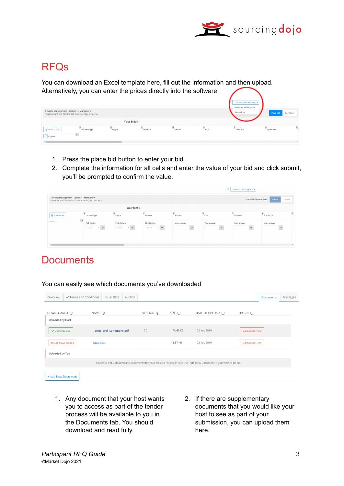

#### RFQs

You can download an Excel template here, fill out the information and then upload. Alternatively, you can enter the prices directly into the software

| 1 Events Management - Option 1 - Mandatory<br>Please expand line items to see the detail (Qty, UoM, etc.) |                      |              |                          |         |        | Download Bid Template<br>Download Bid Template<br><b>Upload Bids</b> | Place Bid                | <b>Reject Lot</b> |
|-----------------------------------------------------------------------------------------------------------|----------------------|--------------|--------------------------|---------|--------|----------------------------------------------------------------------|--------------------------|-------------------|
|                                                                                                           |                      | Your bid: €- |                          |         |        |                                                                      |                          |                   |
| <b>IF Show Details</b>                                                                                    | <b>Location Type</b> | Region       | Province                 | Address | City   | <b>ZIP Code</b>                                                      | Space ID#                | h                 |
| 1.1 <sub>1</sub><br>$\boxed{1\overline{z}}$ Option 1                                                      | $\sim$               | $\sim$       | $\overline{\phantom{a}}$ | $\sim$  | $\sim$ | $\overline{\phantom{a}}$                                             | $\overline{\phantom{a}}$ |                   |
|                                                                                                           |                      |              |                          |         |        |                                                                      |                          |                   |

- 1. Press the place bid button to enter your bid
- 2. Complete the information for all cells and enter the value of your bid and click submit, you'll be prompted to confirm the value.

|                                                                                                           |                                                          |                                               |                                               |                        | $^{\circ}$                  | Download Bid Template       |                               |
|-----------------------------------------------------------------------------------------------------------|----------------------------------------------------------|-----------------------------------------------|-----------------------------------------------|------------------------|-----------------------------|-----------------------------|-------------------------------|
| 1 Events Management - Option 1 - Mandatory<br>Please expand line items to see the detail (Qty, UoM, etc.) |                                                          |                                               |                                               |                        |                             | Please fill in every cell   | Submit<br>Cancel              |
|                                                                                                           |                                                          | Your bid: €-                                  |                                               |                        |                             |                             |                               |
| <b>LE</b> Hide Details                                                                                    | $\bf a$<br><b>Location Type</b>                          | $\mathbf b$<br>Region                         | $\epsilon$<br>Province                        | $\mathbf d$<br>Address | $\mathbf{e}$<br>City        | <b>ZIP Code</b>             | $\mathbf h$<br>8<br>Space ID# |
| Option 1                                                                                                  | $1.1\,$<br><b>Pick Option</b><br>Select<br>$\sim$ $\sim$ | <b>Pick Option</b><br>Select<br>$\sim$ $\sim$ | <b>Pick Option</b><br>Select<br>$\sim$ $\sim$ | Your answer            | Your answer<br>$\checkmark$ | Your answer<br>$\checkmark$ | Your answer<br>$\checkmark$   |
|                                                                                                           |                                                          |                                               |                                               |                        |                             |                             | $\mathbf{r}$                  |

#### **Documents**

#### You can easily see which documents you've downloaded

| Overview                | ✔ Terms and Conditions | Qual. Bids               | Auction |             |            |                                                                                                                  |                      | <b>Documents</b> | Messages |
|-------------------------|------------------------|--------------------------|---------|-------------|------------|------------------------------------------------------------------------------------------------------------------|----------------------|------------------|----------|
| DOWNLOADED (i)          |                        | NAME (i)                 |         | VERSION (i) | $SIZE$ (i) | DATE OF UPLOAD (i)                                                                                               | ORIGIN (i)           |                  |          |
| <b>Uploaded by Host</b> |                        |                          |         |             |            |                                                                                                                  |                      |                  |          |
| ✔ Downloaded            |                        | Terms_and_Conditions.pdf |         | 2.0         | 178.68 KB  | 22 July 2019                                                                                                     | <b>Uploaded Here</b> |                  |          |
| <b>x</b> Not downloaded |                        | NDA.docx                 |         | $\sim$      | 11.37 KB   | 22 July 2019                                                                                                     | <b>Uploaded Here</b> |                  |          |
| <b>Uploaded by You</b>  |                        |                          |         |             |            |                                                                                                                  |                      |                  |          |
|                         |                        |                          |         |             |            | You have not uploaded any documents for your Host to review. Please use 'Add New Document' if you wish to do so. |                      |                  |          |
| + Add New Document      |                        |                          |         |             |            |                                                                                                                  |                      |                  |          |

- 1. Any document that your host wants you to access as part of the tender process will be available to you in the Documents tab. You should download and read fully.
- 2. If there are supplementary documents that you would like your host to see as part of your submission, you can upload them here.